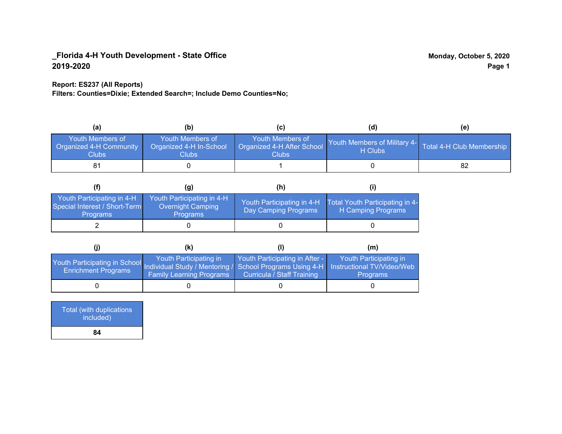## **Report: ES237 (All Reports)**

**Filters: Counties=Dixie; Extended Search=; Include Demo Counties=No;**

| (a)                                                                       | (b)                                                   | (C)                                                                  | (d)                                                               | (e) |
|---------------------------------------------------------------------------|-------------------------------------------------------|----------------------------------------------------------------------|-------------------------------------------------------------------|-----|
| <b>Youth Members of</b><br><b>Organized 4-H Community</b><br><b>Clubs</b> | Youth Members of<br>Organized 4-H In-School<br>Clubs: | Youth Members of<br>Organized 4-H After School<br>Clubs <sup>1</sup> | Youth Members of Military 4- Total 4-H Club Membership<br>H Clubs |     |
| 81                                                                        |                                                       |                                                                      |                                                                   |     |

|                                                                                | (g)                                                                       | (h)                                                 |                                                       |
|--------------------------------------------------------------------------------|---------------------------------------------------------------------------|-----------------------------------------------------|-------------------------------------------------------|
| Youth Participating in 4-H<br>Special Interest / Short-Term<br><b>Programs</b> | Youth Participating in 4-H<br><b>Overnight Camping</b><br><b>Programs</b> | Youth Participating in 4-H.<br>Day Camping Programs | Total Youth Participating in 4-<br>H Camping Programs |
|                                                                                |                                                                           |                                                     |                                                       |

|                                                                                                                                                 | (k)                                                       |                                                              | (m)                                       |
|-------------------------------------------------------------------------------------------------------------------------------------------------|-----------------------------------------------------------|--------------------------------------------------------------|-------------------------------------------|
| Youth Participating in School Individual Study / Mentoring / School Programs Using 4-H Instructional TV/Video/Web<br><b>Enrichment Programs</b> | Youth Participating in<br><b>Family Learning Programs</b> | Youth Participating in After -<br>Curricula / Staff Training | Youth Participating in<br><b>Programs</b> |
|                                                                                                                                                 |                                                           |                                                              |                                           |

| <b>Total (with duplications)</b><br>included) |  |
|-----------------------------------------------|--|
| 84                                            |  |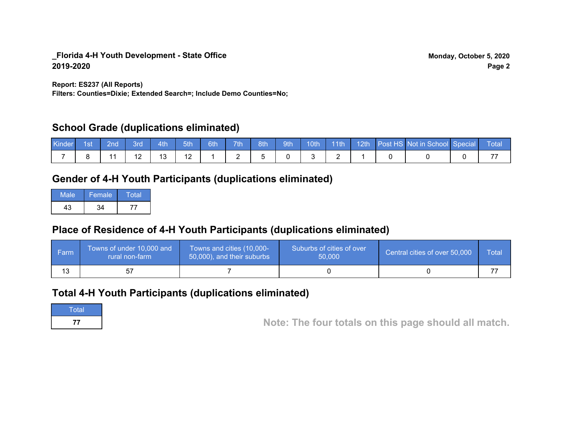**Report: ES237 (All Reports)**

**Filters: Counties=Dixie; Extended Search=; Include Demo Counties=No;**

# **School Grade (duplications eliminated)**

| <b>Kinder</b> | ⊟ 1st | $\blacksquare$ 2nd $\blacksquare$ | $\parallel$ 3rd | $-4th$ | $-5th$    | $\bullet$ 6th | 7th | 8th | $\parallel$ 9th |  |  | 10th 11th 12th Post HS Not in School Special Total |  |
|---------------|-------|-----------------------------------|-----------------|--------|-----------|---------------|-----|-----|-----------------|--|--|----------------------------------------------------|--|
|               |       |                                   |                 |        | 12<br>' 4 |               |     |     |                 |  |  |                                                    |  |

# **Gender of 4-H Youth Participants (duplications eliminated)**

| Male | Female | Total |
|------|--------|-------|
|      | 21     |       |

# **Place of Residence of 4-H Youth Participants (duplications eliminated)**

| ∣ Farm | Towns of under 10,000 and<br>rural non-farm | Towns and cities (10,000-<br>50,000), and their suburbs | Suburbs of cities of over<br>50,000 | Central cities of over 50,000 | Total |
|--------|---------------------------------------------|---------------------------------------------------------|-------------------------------------|-------------------------------|-------|
| 13     |                                             |                                                         |                                     |                               |       |

# **Total 4-H Youth Participants (duplications eliminated)**



**<sup>77</sup> Note: The four totals on this page should all match.**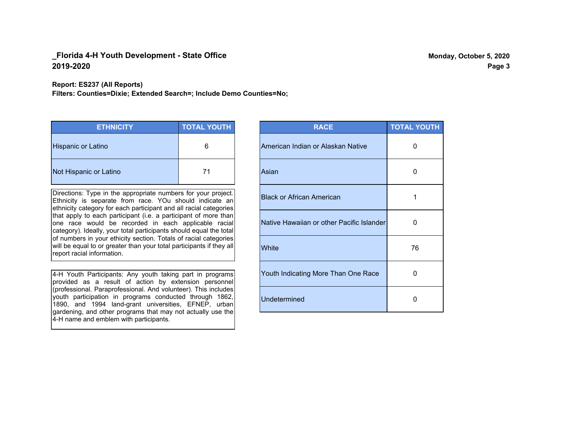**Report: ES237 (All Reports)**

**Filters: Counties=Dixie; Extended Search=; Include Demo Counties=No;**

| <b>ETHNICITY</b>          | <b>TOTAL YOUTH</b> |
|---------------------------|--------------------|
| <b>Hispanic or Latino</b> | 6                  |
| Not Hispanic or Latino    | 71                 |

Directions: Type in the appropriate numbers for your project. Ethnicity is separate from race. YOu should indicate an ethnicity category for each participant and all racial categories that apply to each participant (i.e. a participant of more than one race would be recorded in each applicable racial category). Ideally, your total participants should equal the total of numbers in your ethicity section. Totals of racial categories will be equal to or greater than your total participants if they all report racial information.

4-H Youth Participants: Any youth taking part in programs provided as a result of action by extension personnel (professional. Paraprofessional. And volunteer). This includes youth participation in programs conducted through 1862, 1890, and 1994 land-grant universities, EFNEP, urban gardening, and other programs that may not actually use the 4-H name and emblem with participants.

| <b>RACE</b>                               | <b>TOTAL YOUTH</b> |
|-------------------------------------------|--------------------|
| American Indian or Alaskan Native         | O                  |
| Asian                                     | 0                  |
| <b>Black or African American</b>          | 1                  |
| Native Hawaiian or other Pacific Islander | 0                  |
| White                                     | 76                 |
| Youth Indicating More Than One Race       | O                  |
| <b>Undetermined</b>                       | 0                  |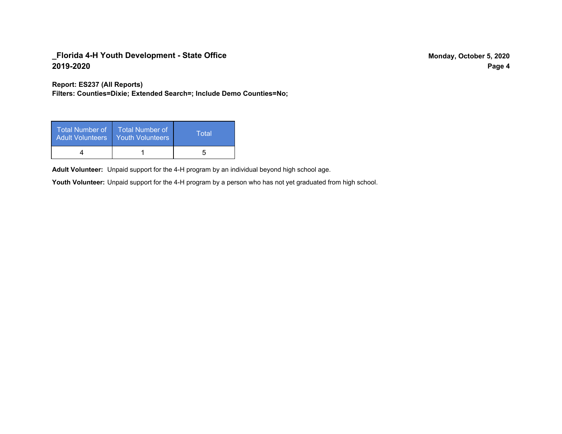**Report: ES237 (All Reports)**

**Filters: Counties=Dixie; Extended Search=; Include Demo Counties=No;**

| <b>Total Number of</b><br><b>Adult Volunteers</b> | <b>Total Number of</b><br>Youth Volunteers | Total |
|---------------------------------------------------|--------------------------------------------|-------|
|                                                   |                                            |       |

Adult Volunteer: Unpaid support for the 4-H program by an individual beyond high school age.

Youth Volunteer: Unpaid support for the 4-H program by a person who has not yet graduated from high school.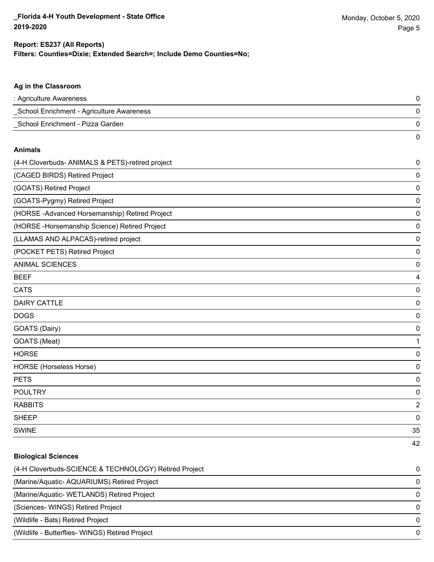**Ag in the Classroom**

42

#### **Filters: Counties=Dixie; Extended Search=; Include Demo Counties=No; Report: ES237 (All Reports)**

| : Agriculture Awareness                          | $\pmb{0}$      |
|--------------------------------------------------|----------------|
| School Enrichment - Agriculture Awareness        | $\mathbf 0$    |
| School Enrichment - Pizza Garden                 | $\mathbf 0$    |
|                                                  | $\mathbf 0$    |
| <b>Animals</b>                                   |                |
| (4-H Cloverbuds- ANIMALS & PETS)-retired project | $\mathbf 0$    |
| (CAGED BIRDS) Retired Project                    | $\mathbf 0$    |
| (GOATS) Retired Project                          | $\mathbf 0$    |
| (GOATS-Pygmy) Retired Project                    | $\mathbf 0$    |
| (HORSE - Advanced Horsemanship) Retired Project  | $\mathbf 0$    |
| (HORSE-Horsemanship Science) Retired Project     | $\mathbf 0$    |
| (LLAMAS AND ALPACAS)-retired project             | $\mathbf 0$    |
| (POCKET PETS) Retired Project                    | $\mathbf 0$    |
| <b>ANIMAL SCIENCES</b>                           | $\mathbf 0$    |
| <b>BEEF</b>                                      | $\overline{4}$ |
| <b>CATS</b>                                      | $\mathbf 0$    |
| <b>DAIRY CATTLE</b>                              | $\mathbf 0$    |
| <b>DOGS</b>                                      | $\mathbf 0$    |
| GOATS (Dairy)                                    | $\mathbf 0$    |
| GOATS (Meat)                                     | 1              |
| <b>HORSE</b>                                     | $\mathbf 0$    |
| HORSE (Horseless Horse)                          | $\mathbf 0$    |
| <b>PETS</b>                                      | $\mathbf 0$    |
| <b>POULTRY</b>                                   | $\mathbf 0$    |
| <b>RABBITS</b>                                   | $\overline{2}$ |
| <b>SHEEP</b>                                     | $\mathbf 0$    |
| <b>SWINE</b>                                     | 35             |

# **Biological Sciences** (4-H Cloverbuds-SCIENCE & TECHNOLOGY) Retired Project 0 (Marine/Aquatic- AQUARIUMS) Retired Project 0 (Marine/Aquatic- WETLANDS) Retired Project 0 (Sciences- WINGS) Retired Project 0 (Wildlife - Bats) Retired Project 0 (Wildlife - Butterflies- WINGS) Retired Project 0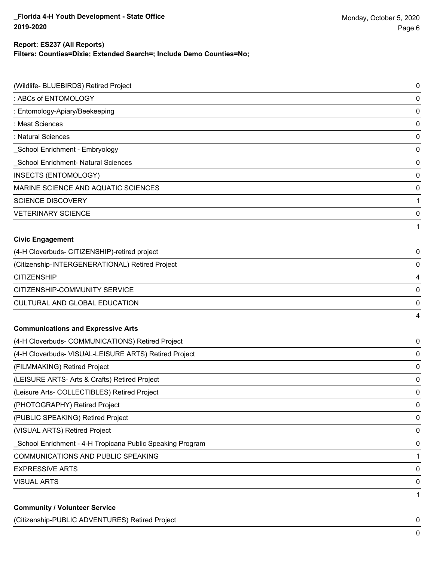# **Report: ES237 (All Reports)**

**Filters: Counties=Dixie; Extended Search=; Include Demo Counties=No;**

| (Wildlife- BLUEBIRDS) Retired Project                     | 0 |
|-----------------------------------------------------------|---|
| : ABCs of ENTOMOLOGY                                      | 0 |
| : Entomology-Apiary/Beekeeping                            | 0 |
| : Meat Sciences                                           | 0 |
| : Natural Sciences                                        | 0 |
| School Enrichment - Embryology                            | 0 |
| School Enrichment- Natural Sciences                       | 0 |
| <b>INSECTS (ENTOMOLOGY)</b>                               | 0 |
| MARINE SCIENCE AND AQUATIC SCIENCES                       | 0 |
| <b>SCIENCE DISCOVERY</b>                                  | 1 |
| <b>VETERINARY SCIENCE</b>                                 | 0 |
|                                                           | 1 |
| <b>Civic Engagement</b>                                   |   |
| (4-H Cloverbuds- CITIZENSHIP)-retired project             | 0 |
| (Citizenship-INTERGENERATIONAL) Retired Project           | 0 |
| <b>CITIZENSHIP</b>                                        | 4 |
| CITIZENSHIP-COMMUNITY SERVICE                             | 0 |
| CULTURAL AND GLOBAL EDUCATION                             | 0 |
|                                                           | 4 |
| <b>Communications and Expressive Arts</b>                 |   |
| (4-H Cloverbuds- COMMUNICATIONS) Retired Project          | 0 |
| (4-H Cloverbuds- VISUAL-LEISURE ARTS) Retired Project     | 0 |
| (FILMMAKING) Retired Project                              | 0 |
| (LEISURE ARTS- Arts & Crafts) Retired Project             | 0 |
| (Leisure Arts- COLLECTIBLES) Retired Project              | 0 |
| (PHOTOGRAPHY) Retired Project                             | 0 |
| (PUBLIC SPEAKING) Retired Project                         | 0 |
| (VISUAL ARTS) Retired Project                             | 0 |
| School Enrichment - 4-H Tropicana Public Speaking Program | 0 |
| COMMUNICATIONS AND PUBLIC SPEAKING                        | 1 |
| <b>EXPRESSIVE ARTS</b>                                    | 0 |
| <b>VISUAL ARTS</b>                                        | 0 |
| <b>Community / Volunteer Service</b>                      | 1 |

(Citizenship-PUBLIC ADVENTURES) Retired Project 0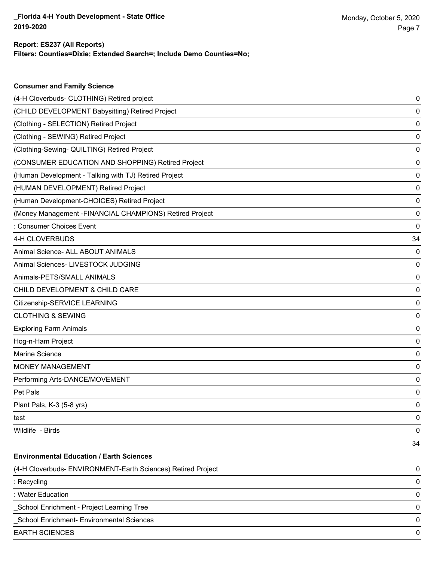**Consumer and Family Science**

### **Filters: Counties=Dixie; Extended Search=; Include Demo Counties=No; Report: ES237 (All Reports)**

| (4-H Cloverbuds- CLOTHING) Retired project                   | 0  |
|--------------------------------------------------------------|----|
| (CHILD DEVELOPMENT Babysitting) Retired Project              | 0  |
| (Clothing - SELECTION) Retired Project                       | 0  |
| (Clothing - SEWING) Retired Project                          | 0  |
| (Clothing-Sewing- QUILTING) Retired Project                  | 0  |
| (CONSUMER EDUCATION AND SHOPPING) Retired Project            | 0  |
| (Human Development - Talking with TJ) Retired Project        | 0  |
| (HUMAN DEVELOPMENT) Retired Project                          | 0  |
| (Human Development-CHOICES) Retired Project                  | 0  |
| (Money Management -FINANCIAL CHAMPIONS) Retired Project      | 0  |
| : Consumer Choices Event                                     | 0  |
| 4-H CLOVERBUDS                                               | 34 |
| Animal Science- ALL ABOUT ANIMALS                            | 0  |
| Animal Sciences- LIVESTOCK JUDGING                           | 0  |
| Animals-PETS/SMALL ANIMALS                                   | 0  |
| CHILD DEVELOPMENT & CHILD CARE                               | 0  |
| Citizenship-SERVICE LEARNING                                 | 0  |
| <b>CLOTHING &amp; SEWING</b>                                 | 0  |
| <b>Exploring Farm Animals</b>                                | 0  |
| Hog-n-Ham Project                                            | 0  |
| Marine Science                                               | 0  |
| MONEY MANAGEMENT                                             | 0  |
| Performing Arts-DANCE/MOVEMENT                               | 0  |
| Pet Pals                                                     | 0  |
| Plant Pals, K-3 (5-8 yrs)                                    | 0  |
| test                                                         | 0  |
| Wildlife - Birds                                             | 0  |
|                                                              | 34 |
| <b>Environmental Education / Earth Sciences</b>              |    |
| (4-H Cloverbuds- ENVIRONMENT-Earth Sciences) Retired Project | 0  |
| : Recycling                                                  | 0  |
| : Water Education                                            | 0  |
| School Enrichment - Project Learning Tree                    | 0  |
| School Enrichment- Environmental Sciences                    | 0  |
| <b>EARTH SCIENCES</b>                                        | 0  |
|                                                              |    |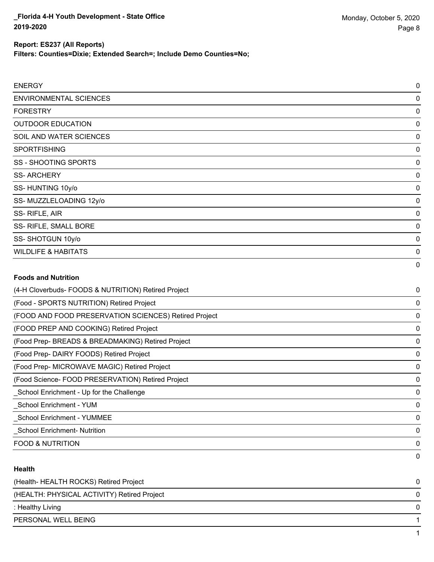**Filters: Counties=Dixie; Extended Search=; Include Demo Counties=No;**

| <b>ENERGY</b>                                         | 0           |
|-------------------------------------------------------|-------------|
| <b>ENVIRONMENTAL SCIENCES</b>                         | 0           |
| <b>FORESTRY</b>                                       | $\mathbf 0$ |
| <b>OUTDOOR EDUCATION</b>                              | $\mathbf 0$ |
| SOIL AND WATER SCIENCES                               | $\mathbf 0$ |
| <b>SPORTFISHING</b>                                   | $\mathbf 0$ |
| <b>SS - SHOOTING SPORTS</b>                           | $\mathbf 0$ |
| <b>SS-ARCHERY</b>                                     | $\mathbf 0$ |
| SS-HUNTING 10y/o                                      | 0           |
| SS-MUZZLELOADING 12y/o                                | $\mathbf 0$ |
| SS-RIFLE, AIR                                         | $\mathbf 0$ |
| SS- RIFLE, SMALL BORE                                 | $\mathbf 0$ |
| SS-SHOTGUN 10y/o                                      | $\mathbf 0$ |
| <b>WILDLIFE &amp; HABITATS</b>                        | $\mathbf 0$ |
|                                                       | 0           |
| <b>Foods and Nutrition</b>                            |             |
| (4-H Cloverbuds- FOODS & NUTRITION) Retired Project   | $\mathbf 0$ |
| (Food - SPORTS NUTRITION) Retired Project             | 0           |
| (FOOD AND FOOD PRESERVATION SCIENCES) Retired Project | $\mathbf 0$ |
| (FOOD PREP AND COOKING) Retired Project               | $\mathbf 0$ |
| (Food Prep- BREADS & BREADMAKING) Retired Project     | $\mathbf 0$ |
| (Food Prep- DAIRY FOODS) Retired Project              | $\mathbf 0$ |
| (Food Prep- MICROWAVE MAGIC) Retired Project          | $\mathbf 0$ |
| (Food Science- FOOD PRESERVATION) Retired Project     | $\mathbf 0$ |
| School Enrichment - Up for the Challenge              | $\mathbf 0$ |
| <b>School Enrichment - YUM</b>                        | 0           |
| <b>School Enrichment - YUMMEE</b>                     | $\mathbf 0$ |
| <b>School Enrichment- Nutrition</b>                   | $\mathbf 0$ |

FOOD & NUTRITION 0

## **Health**

| (Health- HEALTH ROCKS) Retired Project      | 0 |
|---------------------------------------------|---|
| (HEALTH: PHYSICAL ACTIVITY) Retired Project | 0 |
| : Healthy Living                            | 0 |
| PERSONAL WELL BEING                         |   |
|                                             |   |

0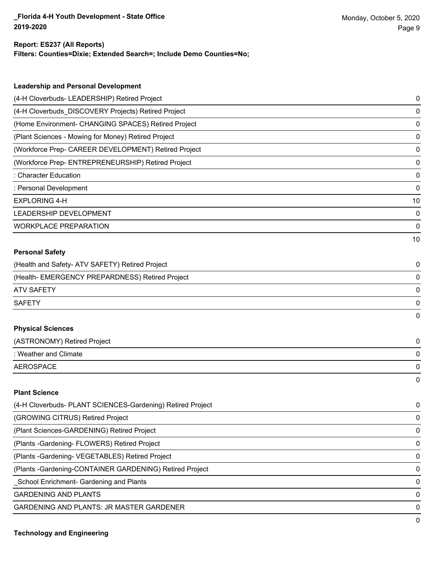#### **Report: ES237 (All Reports)**

**Filters: Counties=Dixie; Extended Search=; Include Demo Counties=No;**

| <b>Leadership and Personal Development</b>                 |    |
|------------------------------------------------------------|----|
| (4-H Cloverbuds- LEADERSHIP) Retired Project               | 0  |
| (4-H Cloverbuds_DISCOVERY Projects) Retired Project        | 0  |
| (Home Environment- CHANGING SPACES) Retired Project        | 0  |
| (Plant Sciences - Mowing for Money) Retired Project        | 0  |
| (Workforce Prep- CAREER DEVELOPMENT) Retired Project       | 0  |
| (Workforce Prep- ENTREPRENEURSHIP) Retired Project         | 0  |
| : Character Education                                      | 0  |
| : Personal Development                                     | 0  |
| <b>EXPLORING 4-H</b>                                       | 10 |
| LEADERSHIP DEVELOPMENT                                     | 0  |
| <b>WORKPLACE PREPARATION</b>                               | 0  |
|                                                            | 10 |
| <b>Personal Safety</b>                                     |    |
| (Health and Safety- ATV SAFETY) Retired Project            | 0  |
| (Health- EMERGENCY PREPARDNESS) Retired Project            | 0  |
| <b>ATV SAFETY</b>                                          | 0  |
| <b>SAFETY</b>                                              | 0  |
|                                                            | 0  |
| <b>Physical Sciences</b>                                   |    |
| (ASTRONOMY) Retired Project                                | 0  |
| : Weather and Climate                                      | 0  |
| <b>AEROSPACE</b>                                           | 0  |
|                                                            | 0  |
| <b>Plant Science</b>                                       |    |
| (4-H Cloverbuds- PLANT SCIENCES-Gardening) Retired Project | 0  |
| (GROWING CITRUS) Retired Project                           | 0  |
| (Plant Sciences-GARDENING) Retired Project                 | 0  |
| (Plants - Gardening - FLOWERS) Retired Project             | 0  |
| (Plants - Gardening - VEGETABLES) Retired Project          | 0  |

(Plants -Gardening-CONTAINER GARDENING) Retired Project 0

\_School Enrichment- Gardening and Plants 0

GARDENING AND PLANTS ON A SERIES AND SERIES OF A SERIES OF A SERIES OF A SERIES OF A SERIES OF A SERIES OF A SERIES OF A SERIES OF A SERIES OF A SERIES OF A SERIES OF A SERIES OF A SERIES OF A SERIES OF A SERIES OF A SERIE

GARDENING AND PLANTS: JR MASTER GARDENER 0